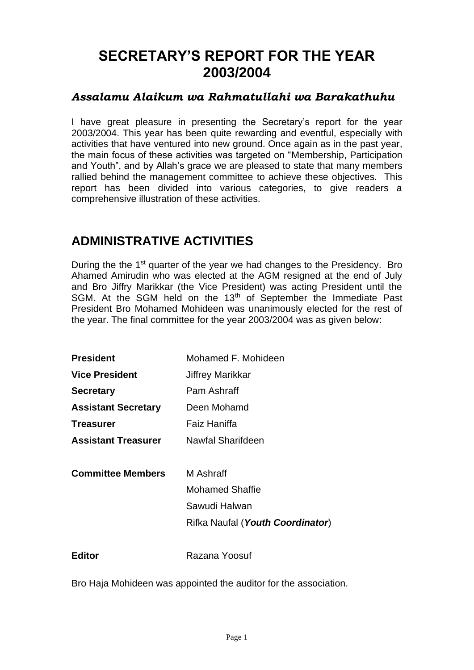# **SECRETARY'S REPORT FOR THE YEAR 2003/2004**

#### *Assalamu Alaikum wa Rahmatullahi wa Barakathuhu*

I have great pleasure in presenting the Secretary's report for the year 2003/2004. This year has been quite rewarding and eventful, especially with activities that have ventured into new ground. Once again as in the past year, the main focus of these activities was targeted on "Membership, Participation and Youth", and by Allah's grace we are pleased to state that many members rallied behind the management committee to achieve these objectives. This report has been divided into various categories, to give readers a comprehensive illustration of these activities.

# **ADMINISTRATIVE ACTIVITIES**

During the the 1<sup>st</sup> quarter of the year we had changes to the Presidency. Bro Ahamed Amirudin who was elected at the AGM resigned at the end of July and Bro Jiffry Marikkar (the Vice President) was acting President until the SGM. At the SGM held on the 13<sup>th</sup> of September the Immediate Past President Bro Mohamed Mohideen was unanimously elected for the rest of the year. The final committee for the year 2003/2004 was as given below:

| <b>President</b>           | Mohamed F. Mohideen              |
|----------------------------|----------------------------------|
| <b>Vice President</b>      | Jiffrey Marikkar                 |
| <b>Secretary</b>           | Pam Ashraff                      |
| <b>Assistant Secretary</b> | Deen Mohamd                      |
| Treasurer                  | Faiz Haniffa                     |
| <b>Assistant Treasurer</b> | Nawfal Sharifdeen                |
|                            |                                  |
| <b>Committee Members</b>   | M Ashraff                        |
|                            | <b>Mohamed Shaffie</b>           |
|                            | Sawudi Halwan                    |
|                            | Rifka Naufal (Youth Coordinator) |
|                            |                                  |
| <b>Editor</b>              | Razana Yoosuf                    |

Bro Haja Mohideen was appointed the auditor for the association.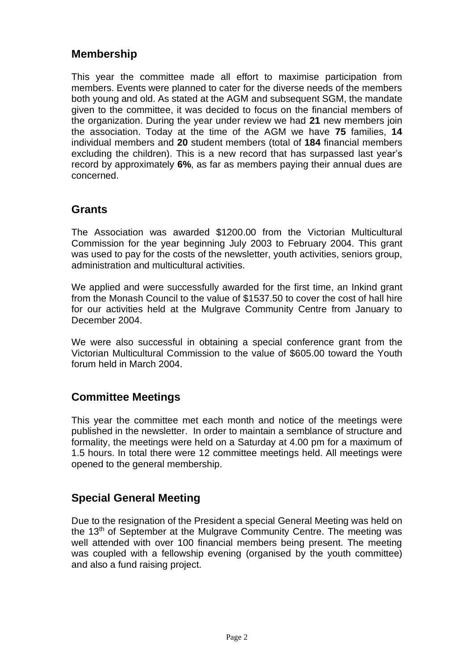## **Membership**

This year the committee made all effort to maximise participation from members. Events were planned to cater for the diverse needs of the members both young and old. As stated at the AGM and subsequent SGM, the mandate given to the committee, it was decided to focus on the financial members of the organization. During the year under review we had **21** new members join the association. Today at the time of the AGM we have **75** families, **14** individual members and **20** student members (total of **184** financial members excluding the children). This is a new record that has surpassed last year's record by approximately **6%**, as far as members paying their annual dues are concerned.

#### **Grants**

The Association was awarded \$1200.00 from the Victorian Multicultural Commission for the year beginning July 2003 to February 2004. This grant was used to pay for the costs of the newsletter, youth activities, seniors group, administration and multicultural activities.

We applied and were successfully awarded for the first time, an Inkind grant from the Monash Council to the value of \$1537.50 to cover the cost of hall hire for our activities held at the Mulgrave Community Centre from January to December 2004.

We were also successful in obtaining a special conference grant from the Victorian Multicultural Commission to the value of \$605.00 toward the Youth forum held in March 2004.

## **Committee Meetings**

This year the committee met each month and notice of the meetings were published in the newsletter. In order to maintain a semblance of structure and formality, the meetings were held on a Saturday at 4.00 pm for a maximum of 1.5 hours. In total there were 12 committee meetings held. All meetings were opened to the general membership.

## **Special General Meeting**

Due to the resignation of the President a special General Meeting was held on the  $13<sup>th</sup>$  of September at the Mulgrave Community Centre. The meeting was well attended with over 100 financial members being present. The meeting was coupled with a fellowship evening (organised by the youth committee) and also a fund raising project.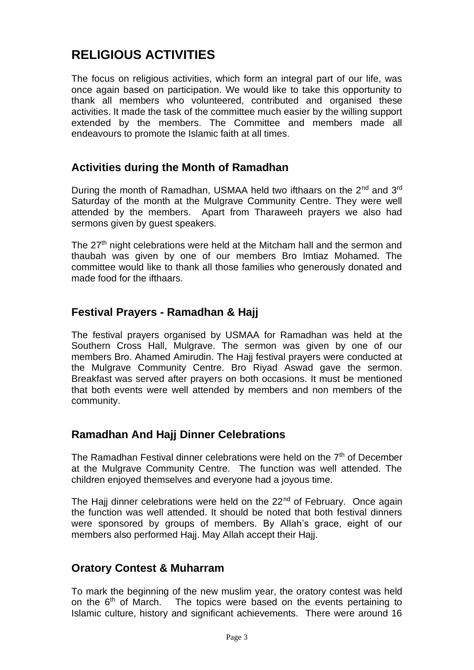# **RELIGIOUS ACTIVITIES**

The focus on religious activities, which form an integral part of our life, was once again based on participation. We would like to take this opportunity to thank all members who volunteered, contributed and organised these activities. It made the task of the committee much easier by the willing support extended by the members. The Committee and members made all endeavours to promote the Islamic faith at all times.

#### **Activities during the Month of Ramadhan**

During the month of Ramadhan, USMAA held two ifthaars on the 2<sup>nd</sup> and 3<sup>rd</sup> Saturday of the month at the Mulgrave Community Centre. They were well attended by the members. Apart from Tharaweeh prayers we also had sermons given by guest speakers.

The  $27<sup>th</sup>$  night celebrations were held at the Mitcham hall and the sermon and thaubah was given by one of our members Bro Imtiaz Mohamed. The committee would like to thank all those families who generously donated and made food for the ifthaars.

## **Festival Prayers - Ramadhan & Hajj**

The festival prayers organised by USMAA for Ramadhan was held at the Southern Cross Hall, Mulgrave. The sermon was given by one of our members Bro. Ahamed Amirudin. The Hajj festival prayers were conducted at the Mulgrave Community Centre. Bro Riyad Aswad gave the sermon. Breakfast was served after prayers on both occasions. It must be mentioned that both events were well attended by members and non members of the community.

## **Ramadhan And Hajj Dinner Celebrations**

The Ramadhan Festival dinner celebrations were held on the  $7<sup>th</sup>$  of December at the Mulgrave Community Centre. The function was well attended. The children enjoyed themselves and everyone had a joyous time.

The Hajj dinner celebrations were held on the 22<sup>nd</sup> of February. Once again the function was well attended. It should be noted that both festival dinners were sponsored by groups of members. By Allah's grace, eight of our members also performed Hajj. May Allah accept their Hajj.

## **Oratory Contest & Muharram**

To mark the beginning of the new muslim year, the oratory contest was held on the  $6<sup>th</sup>$  of March. The topics were based on the events pertaining to Islamic culture, history and significant achievements. There were around 16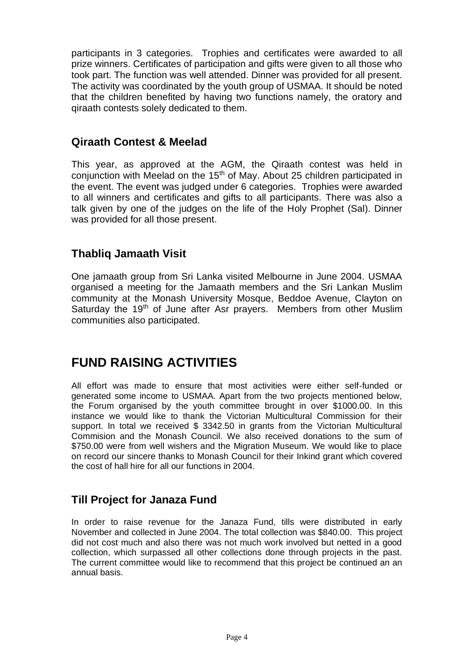participants in 3 categories. Trophies and certificates were awarded to all prize winners. Certificates of participation and gifts were given to all those who took part. The function was well attended. Dinner was provided for all present. The activity was coordinated by the youth group of USMAA. It should be noted that the children benefited by having two functions namely, the oratory and qiraath contests solely dedicated to them.

## **Qiraath Contest & Meelad**

This year, as approved at the AGM, the Qiraath contest was held in conjunction with Meelad on the 15<sup>th</sup> of May. About 25 children participated in the event. The event was judged under 6 categories. Trophies were awarded to all winners and certificates and gifts to all participants. There was also a talk given by one of the judges on the life of the Holy Prophet (Sal). Dinner was provided for all those present.

## **Thabliq Jamaath Visit**

One jamaath group from Sri Lanka visited Melbourne in June 2004. USMAA organised a meeting for the Jamaath members and the Sri Lankan Muslim community at the Monash University Mosque, Beddoe Avenue, Clayton on Saturday the 19<sup>th</sup> of June after Asr prayers. Members from other Muslim communities also participated.

# **FUND RAISING ACTIVITIES**

All effort was made to ensure that most activities were either self-funded or generated some income to USMAA. Apart from the two projects mentioned below, the Forum organised by the youth committee brought in over \$1000.00. In this instance we would like to thank the Victorian Multicultural Commission for their support. In total we received \$ 3342.50 in grants from the Victorian Multicultural Commision and the Monash Council. We also received donations to the sum of \$750.00 were from well wishers and the Migration Museum. We would like to place on record our sincere thanks to Monash Council for their Inkind grant which covered the cost of hall hire for all our functions in 2004.

## **Till Project for Janaza Fund**

In order to raise revenue for the Janaza Fund, tills were distributed in early November and collected in June 2004. The total collection was \$840.00. This project did not cost much and also there was not much work involved but netted in a good collection, which surpassed all other collections done through projects in the past. The current committee would like to recommend that this project be continued an an annual basis.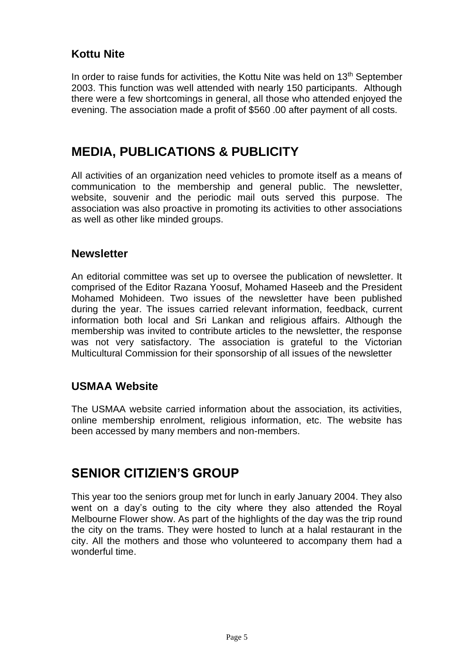## **Kottu Nite**

In order to raise funds for activities, the Kottu Nite was held on 13<sup>th</sup> September 2003. This function was well attended with nearly 150 participants. Although there were a few shortcomings in general, all those who attended enjoyed the evening. The association made a profit of \$560 .00 after payment of all costs.

## **MEDIA, PUBLICATIONS & PUBLICITY**

All activities of an organization need vehicles to promote itself as a means of communication to the membership and general public. The newsletter, website, souvenir and the periodic mail outs served this purpose. The association was also proactive in promoting its activities to other associations as well as other like minded groups.

#### **Newsletter**

An editorial committee was set up to oversee the publication of newsletter. It comprised of the Editor Razana Yoosuf, Mohamed Haseeb and the President Mohamed Mohideen. Two issues of the newsletter have been published during the year. The issues carried relevant information, feedback, current information both local and Sri Lankan and religious affairs. Although the membership was invited to contribute articles to the newsletter, the response was not very satisfactory. The association is grateful to the Victorian Multicultural Commission for their sponsorship of all issues of the newsletter

#### **USMAA Website**

The USMAA website carried information about the association, its activities, online membership enrolment, religious information, etc. The website has been accessed by many members and non-members.

## **SENIOR CITIZIEN'S GROUP**

This year too the seniors group met for lunch in early January 2004. They also went on a day's outing to the city where they also attended the Royal Melbourne Flower show. As part of the highlights of the day was the trip round the city on the trams. They were hosted to lunch at a halal restaurant in the city. All the mothers and those who volunteered to accompany them had a wonderful time.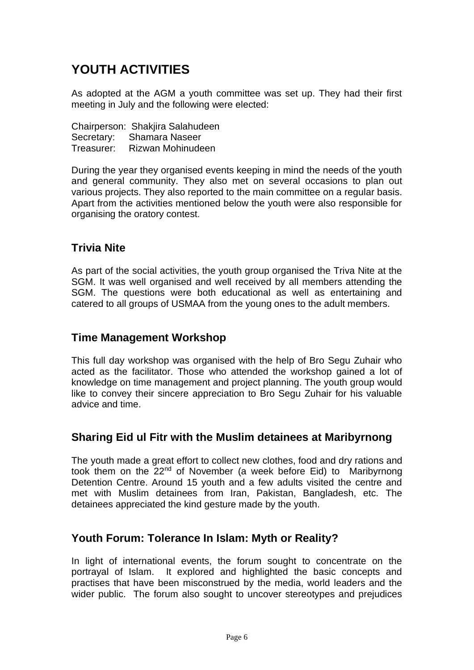# **YOUTH ACTIVITIES**

As adopted at the AGM a youth committee was set up. They had their first meeting in July and the following were elected:

Chairperson: Shakjira Salahudeen Secretary: Shamara Naseer Treasurer: Rizwan Mohinudeen

During the year they organised events keeping in mind the needs of the youth and general community. They also met on several occasions to plan out various projects. They also reported to the main committee on a regular basis. Apart from the activities mentioned below the youth were also responsible for organising the oratory contest.

## **Trivia Nite**

As part of the social activities, the youth group organised the Triva Nite at the SGM. It was well organised and well received by all members attending the SGM. The questions were both educational as well as entertaining and catered to all groups of USMAA from the young ones to the adult members.

#### **Time Management Workshop**

This full day workshop was organised with the help of Bro Segu Zuhair who acted as the facilitator. Those who attended the workshop gained a lot of knowledge on time management and project planning. The youth group would like to convey their sincere appreciation to Bro Segu Zuhair for his valuable advice and time.

#### **Sharing Eid ul Fitr with the Muslim detainees at Maribyrnong**

The youth made a great effort to collect new clothes, food and dry rations and took them on the 22<sup>nd</sup> of November (a week before Eid) to Maribyrnong Detention Centre. Around 15 youth and a few adults visited the centre and met with Muslim detainees from Iran, Pakistan, Bangladesh, etc. The detainees appreciated the kind gesture made by the youth.

## **Youth Forum: Tolerance In Islam: Myth or Reality?**

In light of international events, the forum sought to concentrate on the portrayal of Islam. It explored and highlighted the basic concepts and practises that have been misconstrued by the media, world leaders and the wider public. The forum also sought to uncover stereotypes and prejudices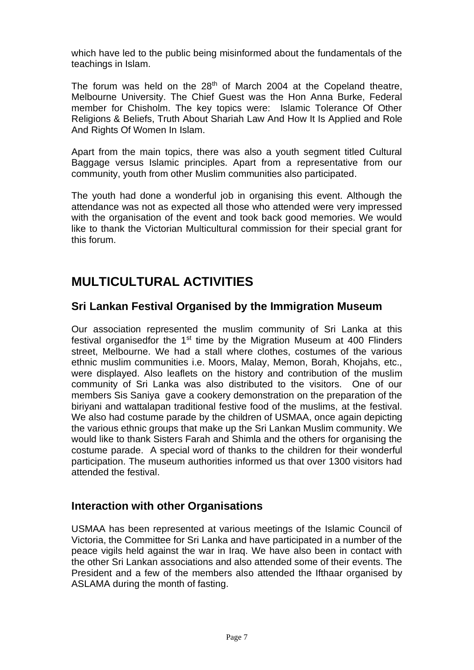which have led to the public being misinformed about the fundamentals of the teachings in Islam.

The forum was held on the  $28<sup>th</sup>$  of March 2004 at the Copeland theatre, Melbourne University. The Chief Guest was the Hon Anna Burke, Federal member for Chisholm. The key topics were: Islamic Tolerance Of Other Religions & Beliefs, Truth About Shariah Law And How It Is Applied and Role And Rights Of Women In Islam.

Apart from the main topics, there was also a youth segment titled Cultural Baggage versus Islamic principles. Apart from a representative from our community, youth from other Muslim communities also participated.

The youth had done a wonderful job in organising this event. Although the attendance was not as expected all those who attended were very impressed with the organisation of the event and took back good memories. We would like to thank the Victorian Multicultural commission for their special grant for this forum.

# **MULTICULTURAL ACTIVITIES**

## **Sri Lankan Festival Organised by the Immigration Museum**

Our association represented the muslim community of Sri Lanka at this festival organisedfor the  $1<sup>st</sup>$  time by the Migration Museum at 400 Flinders street, Melbourne. We had a stall where clothes, costumes of the various ethnic muslim communities i.e. Moors, Malay, Memon, Borah, Khojahs, etc., were displayed. Also leaflets on the history and contribution of the muslim community of Sri Lanka was also distributed to the visitors. One of our members Sis Saniya gave a cookery demonstration on the preparation of the biriyani and wattalapan traditional festive food of the muslims, at the festival. We also had costume parade by the children of USMAA, once again depicting the various ethnic groups that make up the Sri Lankan Muslim community. We would like to thank Sisters Farah and Shimla and the others for organising the costume parade. A special word of thanks to the children for their wonderful participation. The museum authorities informed us that over 1300 visitors had attended the festival.

## **Interaction with other Organisations**

USMAA has been represented at various meetings of the Islamic Council of Victoria, the Committee for Sri Lanka and have participated in a number of the peace vigils held against the war in Iraq. We have also been in contact with the other Sri Lankan associations and also attended some of their events. The President and a few of the members also attended the Ifthaar organised by ASLAMA during the month of fasting.